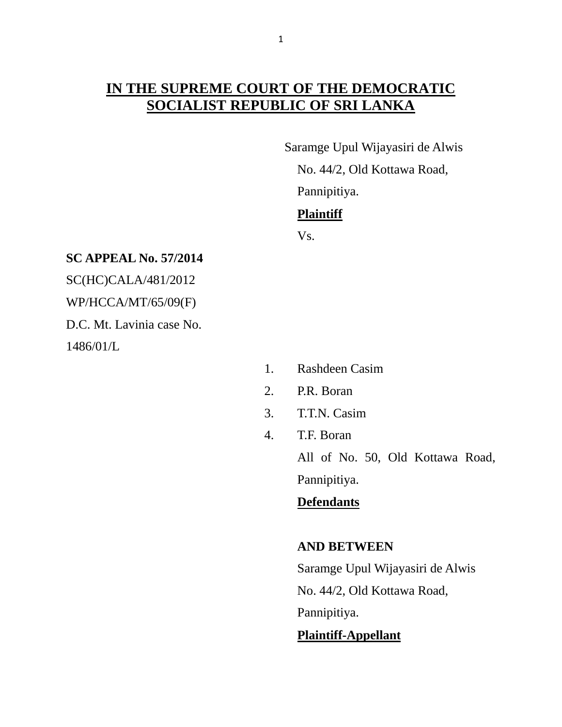# **IN THE SUPREME COURT OF THE DEMOCRATIC SOCIALIST REPUBLIC OF SRI LANKA**

 Saramge Upul Wijayasiri de Alwis No. 44/2, Old Kottawa Road, Pannipitiya. **Plaintiff**

Vs.

#### **SC APPEAL No. 57/2014**

SC(HC)CALA/481/2012 WP/HCCA/MT/65/09(F)

D.C. Mt. Lavinia case No.

1486/01/L

- 1. Rashdeen Casim
- 2. P.R. Boran
- 3. T.T.N. Casim
- 4. T.F. Boran

All of No. 50, Old Kottawa Road, Pannipitiya.

# **Defendants**

### **AND BETWEEN**

Saramge Upul Wijayasiri de Alwis

No. 44/2, Old Kottawa Road,

Pannipitiya.

## **Plaintiff-Appellant**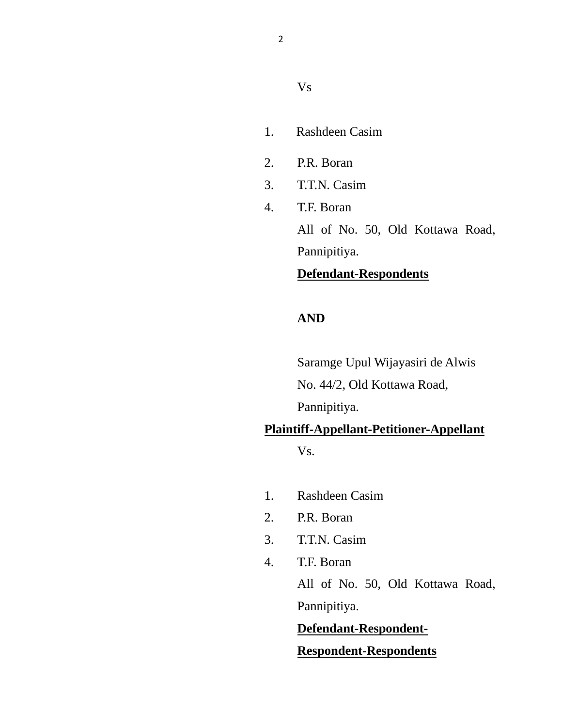#### Vs

- 1.Rashdeen Casim
- 2. P.R. Boran
- 3. T.T.N. Casim
- 4. T.F. Boran All of No. 50, Old Kottawa Road,

Pannipitiya.

# **Defendant-Respondents**

### **AND**

Saramge Upul Wijayasiri de Alwis No. 44/2, Old Kottawa Road,

Pannipitiya.

# **Plaintiff-Appellant-Petitioner-Appellant**

Vs.

- 1. Rashdeen Casim
- 2. P.R. Boran
- 3. T.T.N. Casim
- 4. T.F. Boran

All of No. 50, Old Kottawa Road, Pannipitiya.

## **Defendant-Respondent-**

### **Respondent-Respondents**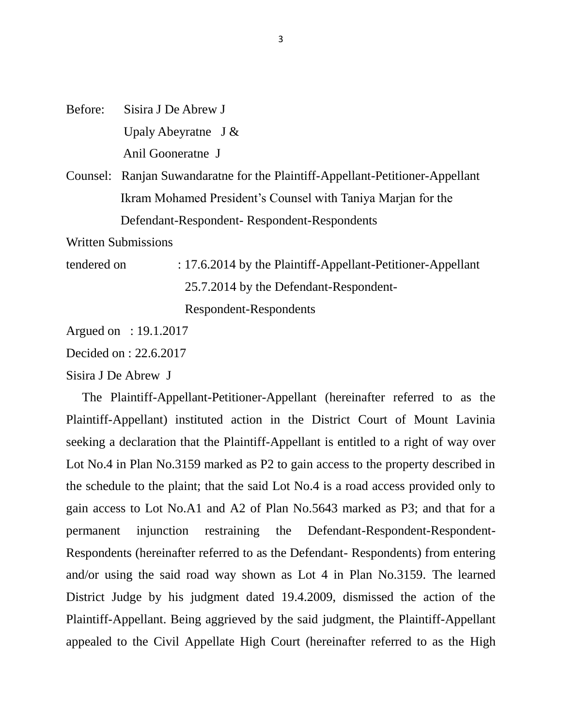Before: Sisira J De Abrew J Upaly Abeyratne J & Anil Gooneratne J

Counsel: Ranjan Suwandaratne for the Plaintiff-Appellant-Petitioner-Appellant Ikram Mohamed President"s Counsel with Taniya Marjan for the Defendant-Respondent- Respondent-Respondents

Written Submissions

tendered on : 17.6.2014 by the Plaintiff-Appellant-Petitioner-Appellant 25.7.2014 by the Defendant-Respondent- Respondent-Respondents

Argued on : 19.1.2017

Decided on : 22.6.2017

Sisira J De Abrew J

 The Plaintiff-Appellant-Petitioner-Appellant (hereinafter referred to as the Plaintiff-Appellant) instituted action in the District Court of Mount Lavinia seeking a declaration that the Plaintiff-Appellant is entitled to a right of way over Lot No.4 in Plan No.3159 marked as P2 to gain access to the property described in the schedule to the plaint; that the said Lot No.4 is a road access provided only to gain access to Lot No.A1 and A2 of Plan No.5643 marked as P3; and that for a permanent injunction restraining the Defendant-Respondent-Respondent-Respondents (hereinafter referred to as the Defendant- Respondents) from entering and/or using the said road way shown as Lot 4 in Plan No.3159. The learned District Judge by his judgment dated 19.4.2009, dismissed the action of the Plaintiff-Appellant. Being aggrieved by the said judgment, the Plaintiff-Appellant appealed to the Civil Appellate High Court (hereinafter referred to as the High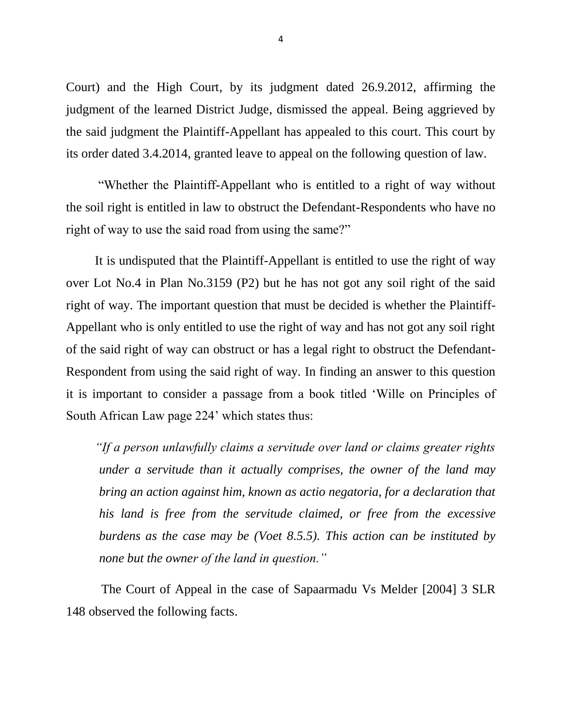Court) and the High Court, by its judgment dated 26.9.2012, affirming the judgment of the learned District Judge, dismissed the appeal. Being aggrieved by the said judgment the Plaintiff-Appellant has appealed to this court. This court by its order dated 3.4.2014, granted leave to appeal on the following question of law.

 "Whether the Plaintiff-Appellant who is entitled to a right of way without the soil right is entitled in law to obstruct the Defendant-Respondents who have no right of way to use the said road from using the same?"

 It is undisputed that the Plaintiff-Appellant is entitled to use the right of way over Lot No.4 in Plan No.3159 (P2) but he has not got any soil right of the said right of way. The important question that must be decided is whether the Plaintiff-Appellant who is only entitled to use the right of way and has not got any soil right of the said right of way can obstruct or has a legal right to obstruct the Defendant-Respondent from using the said right of way. In finding an answer to this question it is important to consider a passage from a book titled "Wille on Principles of South African Law page 224" which states thus:

 *"If a person unlawfully claims a servitude over land or claims greater rights under a servitude than it actually comprises, the owner of the land may bring an action against him, known as actio negatoria, for a declaration that his land is free from the servitude claimed, or free from the excessive burdens as the case may be (Voet 8.5.5). This action can be instituted by none but the owner of the land in question."*

 The Court of Appeal in the case of Sapaarmadu Vs Melder [2004] 3 SLR 148 observed the following facts.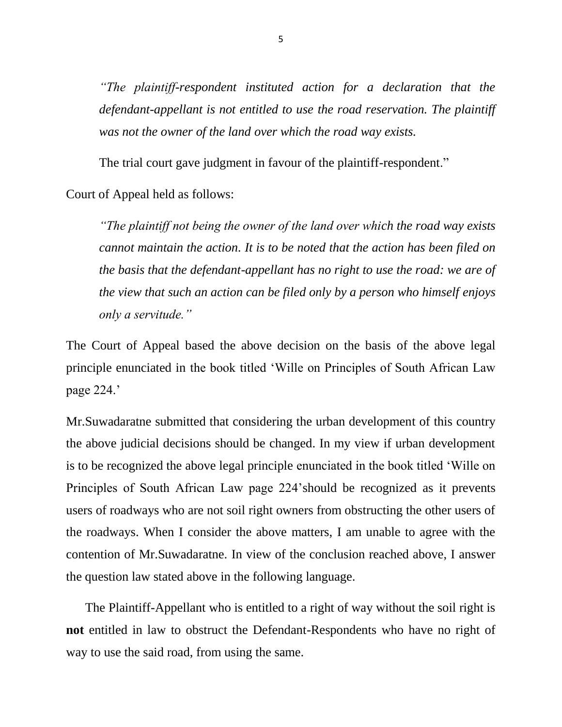*"The plaintiff-respondent instituted action for a declaration that the defendant-appellant is not entitled to use the road reservation. The plaintiff was not the owner of the land over which the road way exists.*

The trial court gave judgment in favour of the plaintiff-respondent."

Court of Appeal held as follows:

*"The plaintiff not being the owner of the land over which the road way exists cannot maintain the action. It is to be noted that the action has been filed on the basis that the defendant-appellant has no right to use the road: we are of the view that such an action can be filed only by a person who himself enjoys only a servitude."* 

The Court of Appeal based the above decision on the basis of the above legal principle enunciated in the book titled "Wille on Principles of South African Law page 224.'

Mr.Suwadaratne submitted that considering the urban development of this country the above judicial decisions should be changed. In my view if urban development is to be recognized the above legal principle enunciated in the book titled "Wille on Principles of South African Law page 224"should be recognized as it prevents users of roadways who are not soil right owners from obstructing the other users of the roadways. When I consider the above matters, I am unable to agree with the contention of Mr.Suwadaratne. In view of the conclusion reached above, I answer the question law stated above in the following language.

 The Plaintiff-Appellant who is entitled to a right of way without the soil right is **not** entitled in law to obstruct the Defendant-Respondents who have no right of way to use the said road, from using the same.